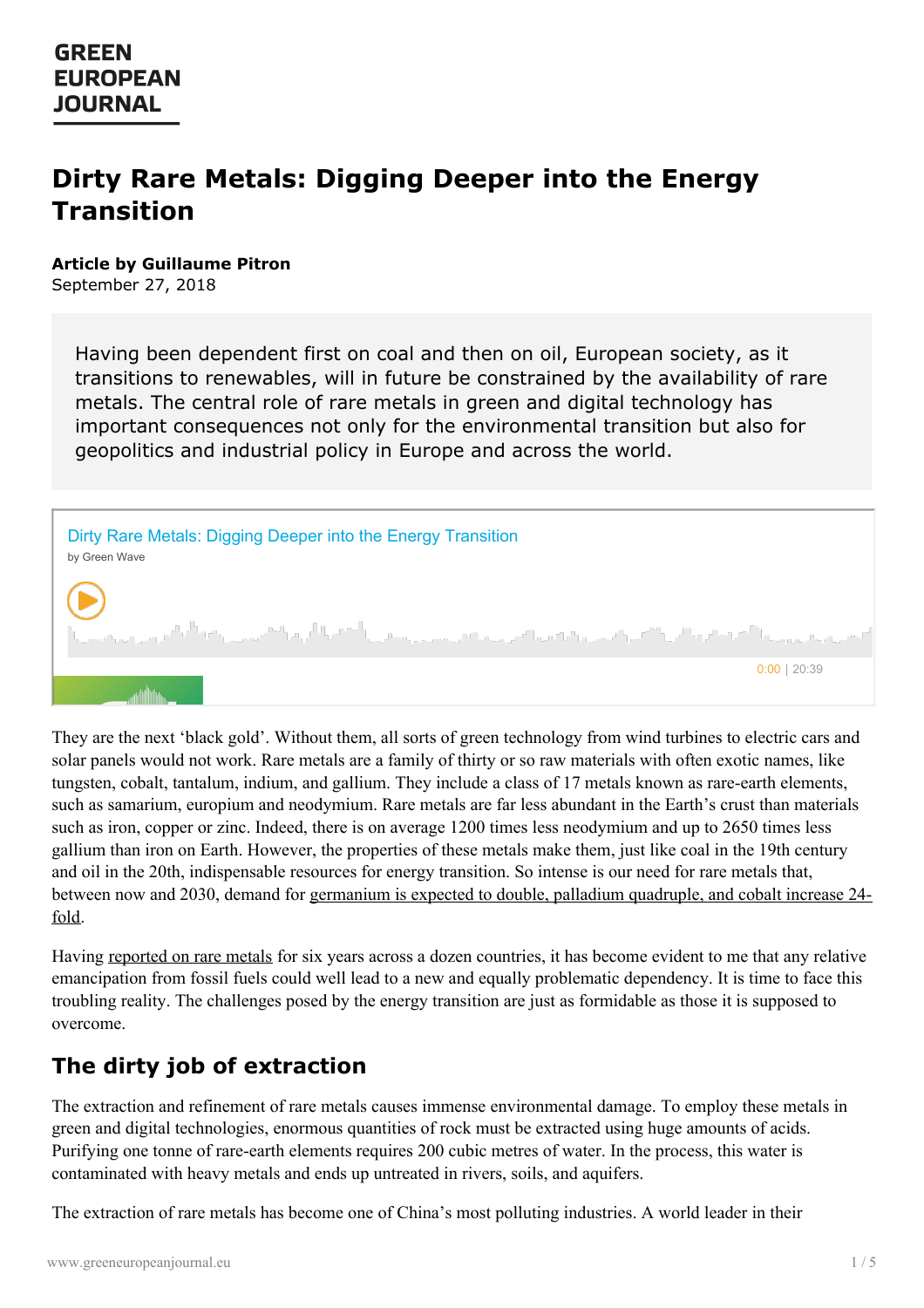# **Dirty Rare Metals: Digging Deeper into the Energy Transition**

#### **Article by Guillaume Pitron**

September 27, 2018

Having been dependent first on coal and then on oil, European society, as it transitions to renewables, will in future be constrained by the availability of rare metals. The central role of rare metals in green and digital technology has important consequences not only for the environmental transition but also for geopolitics and industrial policy in Europe and across the world.



They are the next 'black gold'. Without them, all sorts of green technology from wind turbines to electric cars and solar panels would not work. Rare metals are a family of thirty or so raw materials with often exotic names, like tungsten, cobalt, tantalum, indium, and gallium. They include a class of 17 metals known as rare-earth elements, such as samarium, europium and neodymium. Rare metals are far less abundant in the Earth's crust than materials such as iron, copper or zinc. Indeed, there is on average 1200 times less neodymium and up to 2650 times less gallium than iron on Earth. However, the properties of these metals make them, just like coal in the 19th century and oil in the 20th, indispensable resources for energy transition. So intense is our need for rare metals that, between now and 2030, demand for [germanium](https://www.deutsche-rohstoffagentur.de/DERA/DE/Downloads/zukunftstechnologien-zusammenfassung-en.pdf?__blob=publicationFile&v=5) is expected to double, palladium quadruple, and cobalt increase 24 fold.

Having [reported](http://www.guillaumepitron.com/about-guillaume) on rare metals for six years across a dozen countries, it has become evident to me that any relative emancipation from fossil fuels could well lead to a new and equally problematic dependency. It is time to face this troubling reality. The challenges posed by the energy transition are just as formidable as those it is supposed to overcome.

#### **The dirty job of extraction**

The [extraction](https://www.greeneuropeanjournal.eu) and refinement of rare metals causes immense environmental damage. To employ these metals in green and digital technologies, enormous quantities of rock must be extracted using huge amounts of acids. Purifying one tonne of rare-earth elements requires 200 cubic metres of water. In the process, this water is contaminated with heavy metals and ends up untreated in rivers, soils, and aquifers.

The extraction of rare metals has become one of China's most polluting industries. A world leader in their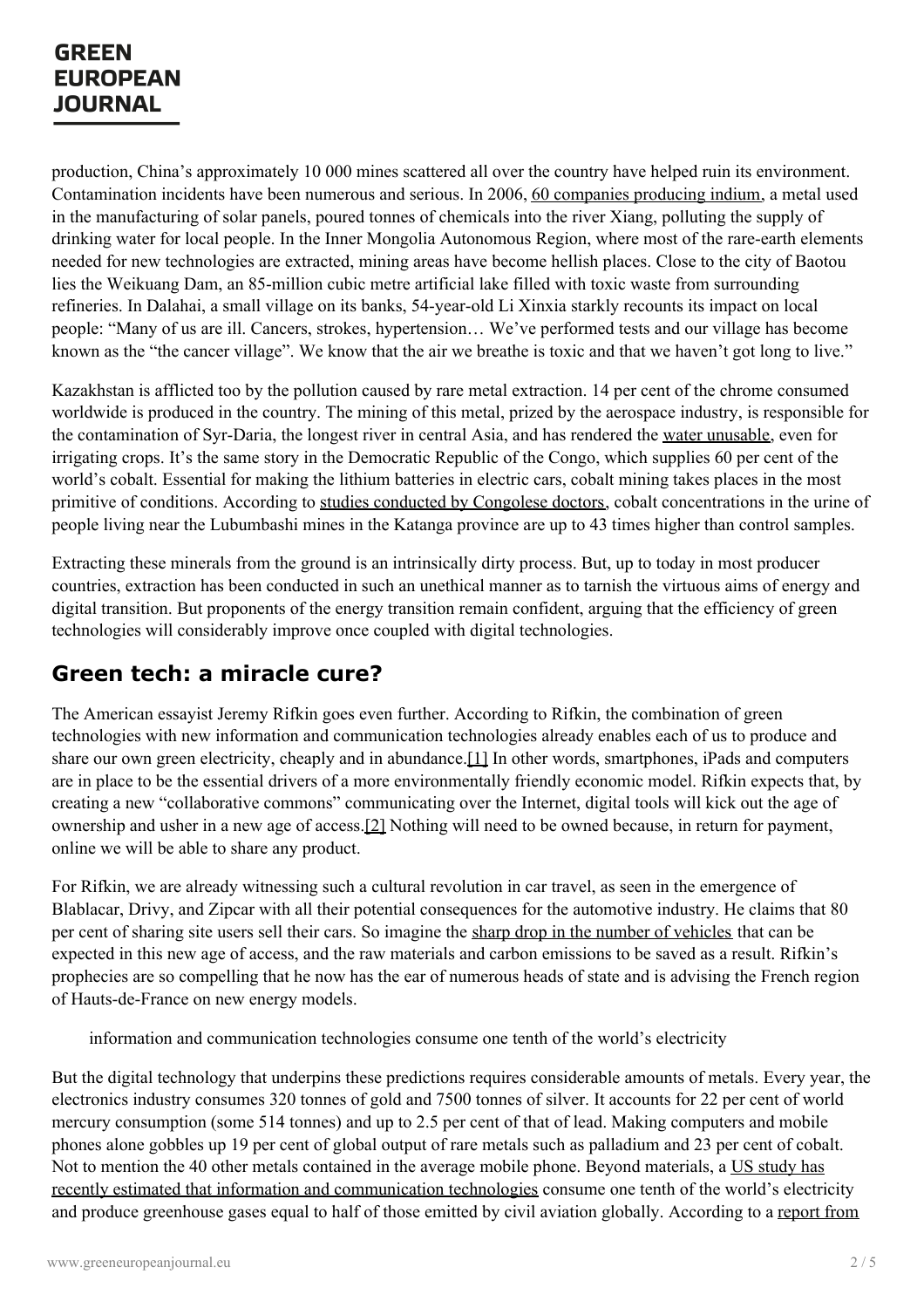production, China's approximately 10 000 mines scattered all over the country have helped ruin its environment. Contamination incidents have been numerous and serious. In 2006, 60 [companies](https://www.ft.com/content/613d7ca0-8ea2-11da-b752-0000779e2340) producing indium, a metal used in the manufacturing of solar panels, poured tonnes of chemicals into the river Xiang, polluting the supply of drinking water for local people. In the Inner Mongolia Autonomous Region, where most of the rare-earth elements needed for new technologies are extracted, mining areas have become hellish places. Close to the city of Baotou lies the Weikuang Dam, an 85-million cubic metre artificial lake filled with toxic waste from surrounding refineries. In Dalahai, a small village on its banks, 54-year-old Li Xinxia starkly recounts its impact on local people: "Many of us are ill. Cancers, strokes, hypertension… We've performed tests and our village has become known as the "the cancer village". We know that the air we breathe is toxic and that we haven't got long to live."

Kazakhstan is afflicted too by the pollution caused by rare metal extraction. 14 per cent of the chrome consumed worldwide is produced in the country. The mining of this metal, prized by the aerospace industry, is responsible for the contamination of Syr-Daria, the longest river in central Asia, and has rendered the water [unusable](http://enews.fergananews.com/news.php?id=2958), even for irrigating crops. It's the same story in the Democratic Republic of the Congo, which supplies 60 per cent of the world's cobalt. Essential for making the lithium batteries in electric cars, cobalt mining takes places in the most primitive of conditions. According to studies conducted by [Congolese](https://www.washingtonpost.com/graphics/business/batteries/congo-cobalt-mining-for-lithium-ion-battery/??noredirect=on) doctors, cobalt concentrations in the urine of people living near the Lubumbashi mines in the Katanga province are up to 43 times higher than control samples.

Extracting these minerals from the ground is an intrinsically dirty process. But, up to today in most producer countries, extraction has been conducted in such an unethical manner as to tarnish the virtuous aims of energy and digital transition. But proponents of the energy transition remain confident, arguing that the efficiency of green technologies will considerably improve once coupled with digital technologies.

# **Green tech: a miracle cure?**

<span id="page-1-0"></span>The American essayist Jeremy Rifkin goes even further. According to Rifkin, the combination of green technologies with new information and communication technologies already enables each of us to produce and share our own green electricity, cheaply and in abundance.[\[1\]](#page-4-0) In other words, smartphones, iPads and computers are in place to be the essential drivers of a more environmentally friendly economic model. Rifkin expects that, by creating a new "collaborative commons" communicating over the Internet, digital tools will kick out the age of ownership and usher in a new age of access.[\[2\]](#page-4-1) Nothing will need to be owned because, in return for payment, online we will be able to share any product.

<span id="page-1-1"></span>For Rifkin, we are already witnessing such a cultural revolution in car travel, as seen in the emergence of Blablacar, Drivy, and Zipcar with all their potential consequences for the automotive industry. He claims that 80 per cent of sharing site users sell their cars. So imagine the sharp drop in the number of [vehicles](https://www.entreprises.gouv.fr/etudes-et-statistiques/usages-novateurs-la-voiture-et-nouvelles-mobilites) that can be expected in this new age of access, and the raw materials and carbon emissions to be saved as a result. Rifkin's prophecies are so compelling that he now has the ear of numerous heads of state and is advising the French region of Hauts-de-France on new energy models.

information and communication technologies consume one tenth of the world's electricity

But the digital technology that underpins these predictions requires considerable amounts of metals. Every year, the [electronics](https://www.greeneuropeanjournal.eu) industry consumes 320 tonnes of gold and 7500 tonnes of silver. It accounts for 22 per cent of world mercury consumption (some 514 tonnes) and up to 2.5 per cent of that of lead. Making computers and mobile phones alone gobbles up 19 per cent of global output of rare metals such as palladium and 23 per cent of cobalt. Not to mention the 40 other metals contained in the average mobile phone. Beyond materials, a US study has recently estimated that information and [communication](https://www.tech-pundit.com/wp-content/uploads/2013/07/Cloud_Begins_With_Coal.pdf) technologies consume one tenth of the world's electricity and produce [greenhouse](https://www.greenpeace.org/international/publication/6986/how-clean-is-your-cloud/) gases equal to half of those emitted by civil aviation globally. According to a report from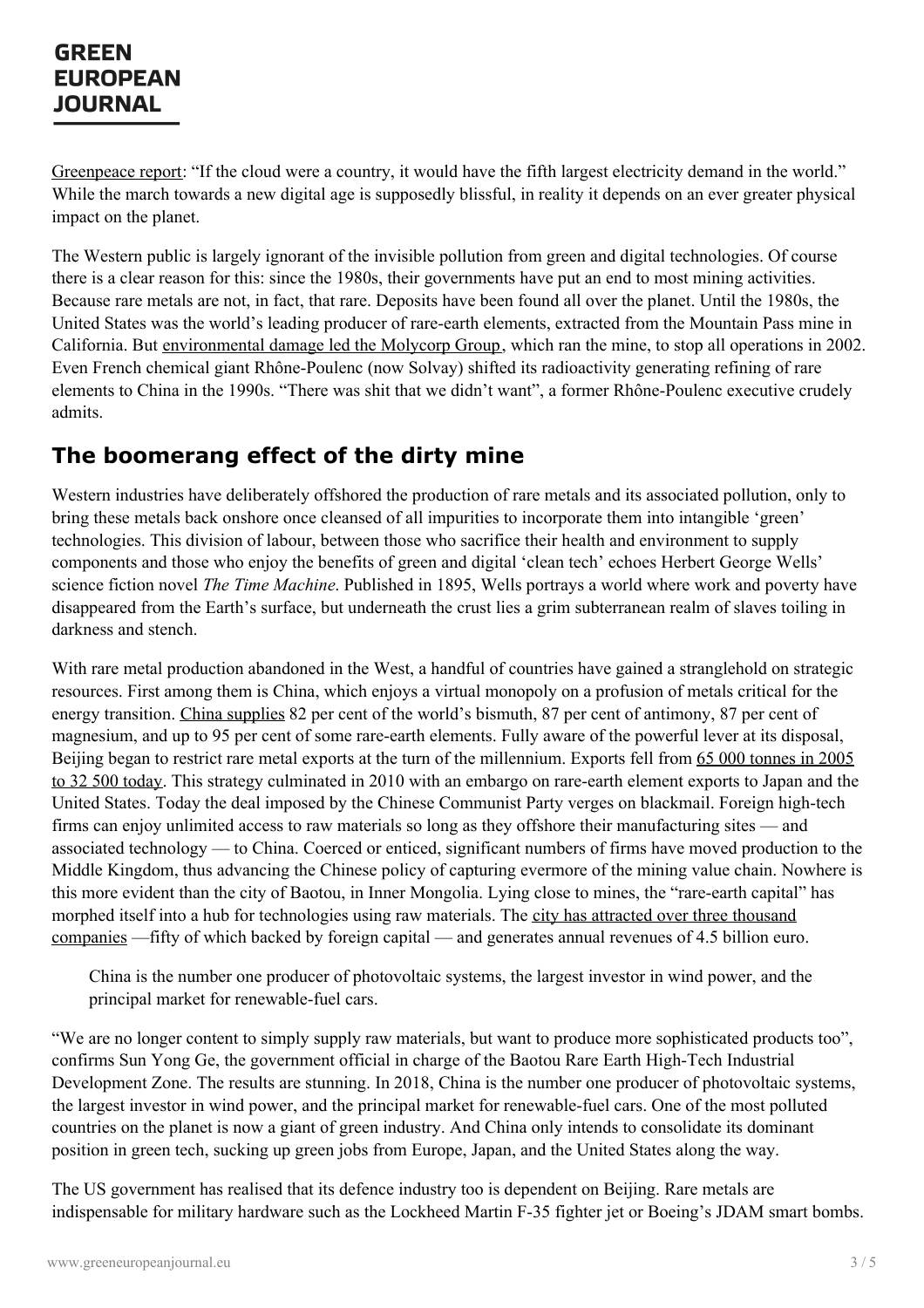Greenpeace report: "If the cloud were a country, it would have the fifth largest electricity demand in the world." While the march towards a new digital age is supposedly blissful, in reality it depends on an ever greater physical impact on the planet.

The Western public is largely ignorant of the invisible pollution from green and digital technologies. Of course there is a clear reason for this: since the 1980s, their governments have put an end to most mining activities. Because rare metals are not, in fact, that rare. Deposits have been found all over the planet. Until the 1980s, the United States was the world's leading producer of rare-earth elements, extracted from the Mountain Pass mine in California. But [environmental](http://www.desertreport.org/wp-content/uploads/2011/03/DR_Spring2011.pdf) damage led the Molycorp Group, which ran the mine, to stop all operations in 2002. Even French chemical giant Rhône-Poulenc (now Solvay) shifted its radioactivity generating refining of rare elements to China in the 1990s. "There was shit that we didn't want", a former Rhône-Poulenc executive crudely admits.

# **The boomerang effect of the dirty mine**

Western industries have deliberately offshored the production of rare metals and its associated pollution, only to bring these metals back onshore once cleansed of all impurities to incorporate them into intangible 'green' technologies. This division of labour, between those who sacrifice their health and environment to supply components and those who enjoy the benefits of green and digital 'clean tech' echoes Herbert George Wells' science fiction novel *The Time Machine*. Published in 1895, Wells portrays a world where work and poverty have disappeared from the Earth's surface, but underneath the crust lies a grim subterranean realm of slaves toiling in darkness and stench.

With rare metal production abandoned in the West, a handful of countries have gained a stranglehold on strategic resources. First among them is China, which enjoys a virtual monopoly on a profusion of metals critical for the energy transition. China [supplies](https://ec.europa.eu/transparency/regdoc/rep/1/2017/FR/COM-2017-490-F1-FR-MAIN-PART-1.PDF) 82 per cent of the world's bismuth, 87 per cent of antimony, 87 per cent of magnesium, and up to 95 per cent of some rare-earth elements. Fully aware of the powerful lever at its disposal, Beijing began to restrict rare metal exports at the turn of the [millennium.](https://www.ifri.org/en/publications/enotes/notes-de-lifri/rare-earths-and-clean-energy-analyzing-chinas-upper-hand) Exports fell from 65 000 tonnes in 2005 to 32 500 today. This strategy culminated in 2010 with an embargo on rare-earth element exports to Japan and the United States. Today the deal imposed by the Chinese Communist Party verges on blackmail. Foreign high-tech firms can enjoy unlimited access to raw materials so long as they offshore their manufacturing sites — and associated technology — to China. Coerced or enticed, significant numbers of firms have moved production to the Middle Kingdom, thus advancing the Chinese policy of capturing evermore of the mining value chain. Nowhere is this more evident than the city of Baotou, in Inner Mongolia. Lying close to mines, the "rare-earth capital" has morphed itself into a hub for [technologies](http://www.chinadaily.com.cn/business/2017-08/29/content_31257475.htm) using raw materials. The city has attracted over three thousand companies —fifty of which backed by foreign capital — and generates annual revenues of 4.5 billion euro.

China is the number one producer of photovoltaic systems, the largest investor in wind power, and the principal market for renewable-fuel cars.

"We are no longer content to simply supply raw materials, but want to produce more sophisticated products too", confirms Sun Yong Ge, the government official in charge of the Baotou Rare Earth High-Tech Industrial Development Zone. The results are stunning. In 2018, China is the number one producer of photovoltaic systems, the largest [investor](https://www.greeneuropeanjournal.eu) in wind power, and the principal market for renewable-fuel cars. One of the most polluted countries on the planet is now a giant of green industry. And China only intends to consolidate its dominant position in green tech, sucking up green jobs from Europe, Japan, and the United States along the way.

The US government has realised that its defence industry too is dependent on Beijing. Rare metals are indispensable for military hardware such as the Lockheed Martin F-35 fighter jet or Boeing's JDAM smart bombs.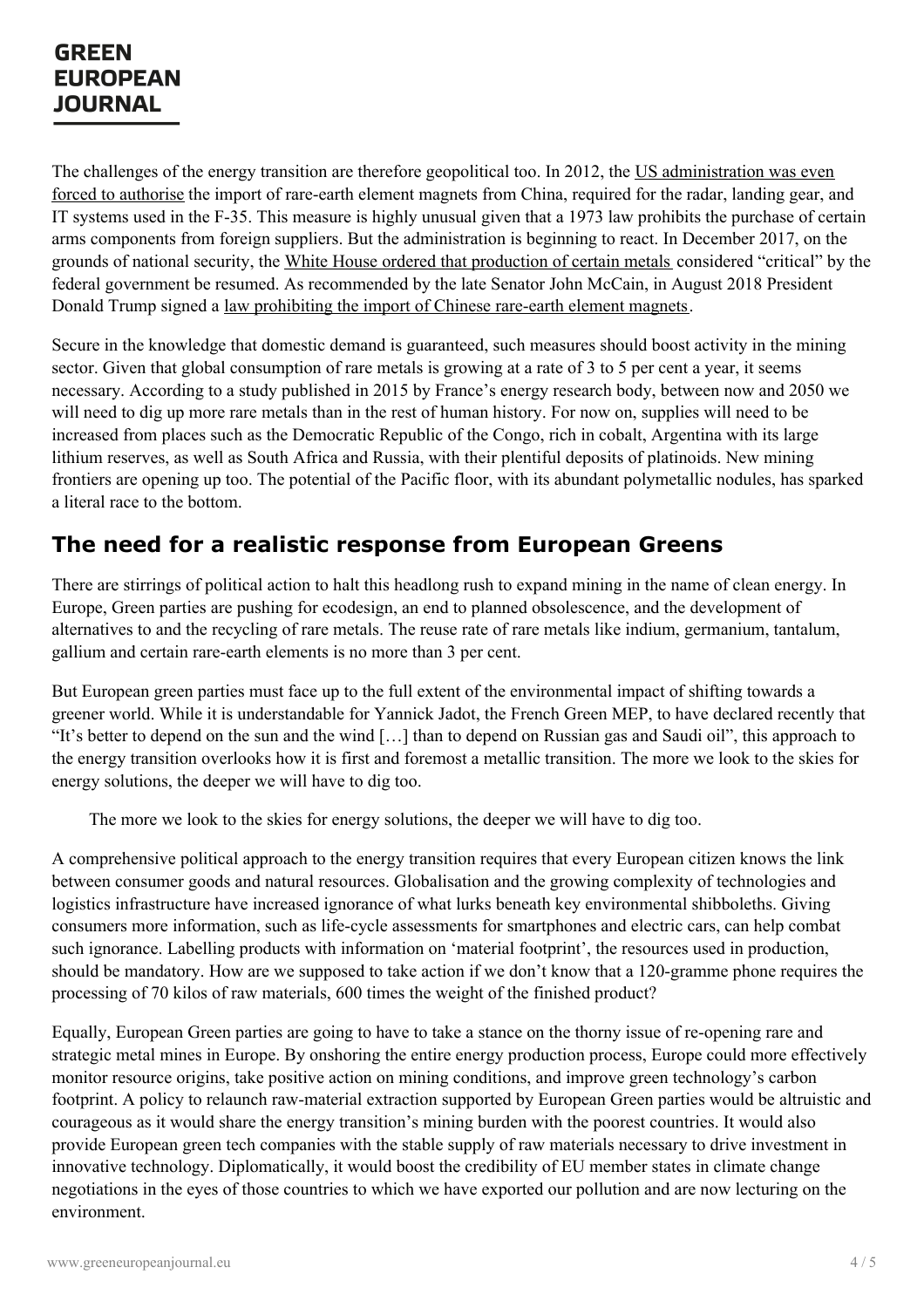The challenges of the energy transition are therefore geopolitical too. In 2012, the US [administration](https://www.reuters.com/article/us-lockheed-f35/exclusive-u-s-waived-laws-to-keep-f-35-on-track-with-china-made-parts-idUSBREA020VA20140103) was even forced to authorise the import of rare-earth element magnets from China, required for the radar, landing gear, and IT systems used in the F-35. This measure is highly unusual given that a 1973 law prohibits the purchase of certain arms components from foreign suppliers. But the administration is beginning to react. In December 2017, on the grounds of national security, the White House ordered that [production](https://www.whitehouse.gov/presidential-actions/presidential-executive-order-federal-strategy-ensure-secure-reliable-supplies-critical-minerals/) of certain metals considered "critical" by the federal government be resumed. As recommended by the late Senator John McCain, in August 2018 President Donald Trump signed a law [prohibiting](https://www.congress.gov/bill/115th-congress/house-bill/5515/text) the import of Chinese rare-earth element magnets.

Secure in the knowledge that domestic demand is guaranteed, such measures should boost activity in the mining sector. Given that global consumption of rare metals is growing at a rate of 3 to 5 per cent a year, it seems necessary. According to a study published in 2015 by France's energy research body, between now and 2050 we will need to dig up more rare metals than in the rest of human history. For now on, supplies will need to be increased from places such as the Democratic Republic of the Congo, rich in cobalt, Argentina with its large lithium reserves, as well as South Africa and Russia, with their plentiful deposits of platinoids. New mining frontiers are opening up too. The potential of the Pacific floor, with its abundant polymetallic nodules, has sparked a literal race to the bottom.

### **The need for a realistic response from European Greens**

There are stirrings of political action to halt this headlong rush to expand mining in the name of clean energy. In Europe, Green parties are pushing for ecodesign, an end to planned obsolescence, and the development of alternatives to and the recycling of rare metals. The reuse rate of rare metals like indium, germanium, tantalum, gallium and certain rare-earth elements is no more than 3 per cent.

But European green parties must face up to the full extent of the environmental impact of shifting towards a greener world. While it is understandable for Yannick Jadot, the French Green MEP, to have declared recently that "It's better to depend on the sun and the wind […] than to depend on Russian gas and Saudi oil", this approach to the energy transition overlooks how it is first and foremost a metallic transition. The more we look to the skies for energy solutions, the deeper we will have to dig too.

The more we look to the skies for energy solutions, the deeper we will have to dig too.

A comprehensive political approach to the energy transition requires that every European citizen knows the link between consumer goods and natural resources. Globalisation and the growing complexity of technologies and logistics infrastructure have increased ignorance of what lurks beneath key environmental shibboleths. Giving consumers more information, such as life-cycle assessments for smartphones and electric cars, can help combat such ignorance. Labelling products with information on 'material footprint', the resources used in production, should be mandatory. How are we supposed to take action if we don't know that a 120-gramme phone requires the processing of 70 kilos of raw materials, 600 times the weight of the finished product?

Equally, European Green parties are going to have to take a stance on the thorny issue of re-opening rare and strategic metal mines in Europe. By onshoring the entire energy production process, Europe could more effectively monitor resource origins, take positive action on mining conditions, and improve green technology's carbon [footprint.](https://www.greeneuropeanjournal.eu) A policy to relaunch raw-material extraction supported by European Green parties would be altruistic and courageous as it would share the energy transition's mining burden with the poorest countries. It would also provide European green tech companies with the stable supply of raw materials necessary to drive investment in innovative technology. Diplomatically, it would boost the credibility of EU member states in climate change negotiations in the eyes of those countries to which we have exported our pollution and are now lecturing on the environment.